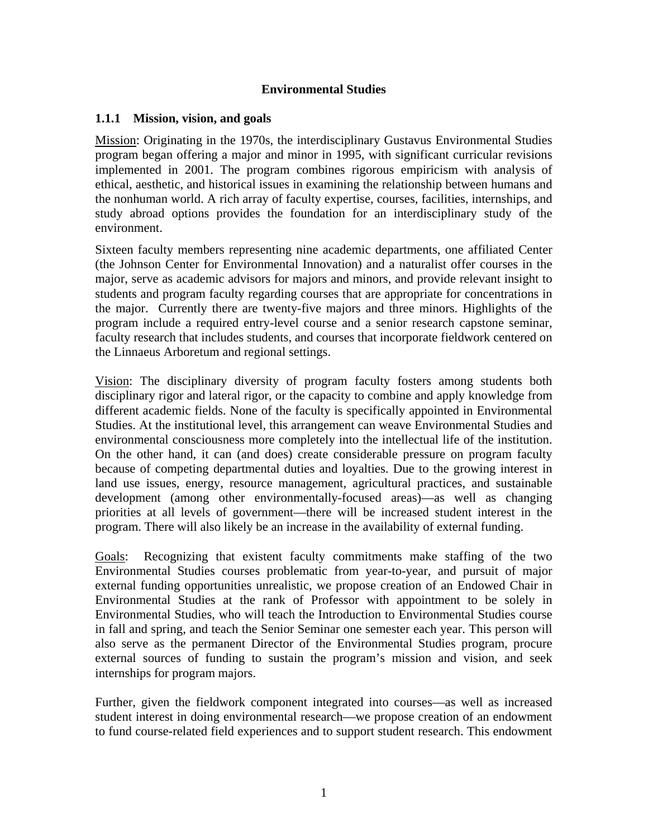#### **Environmental Studies**

#### **1.1.1 Mission, vision, and goals**

Mission: Originating in the 1970s, the interdisciplinary Gustavus Environmental Studies program began offering a major and minor in 1995, with significant curricular revisions implemented in 2001. The program combines rigorous empiricism with analysis of ethical, aesthetic, and historical issues in examining the relationship between humans and the nonhuman world. A rich array of faculty expertise, courses, facilities, internships, and study abroad options provides the foundation for an interdisciplinary study of the environment.

Sixteen faculty members representing nine academic departments, one affiliated Center (the Johnson Center for Environmental Innovation) and a naturalist offer courses in the major, serve as academic advisors for majors and minors, and provide relevant insight to students and program faculty regarding courses that are appropriate for concentrations in the major. Currently there are twenty-five majors and three minors. Highlights of the program include a required entry-level course and a senior research capstone seminar, faculty research that includes students, and courses that incorporate fieldwork centered on the Linnaeus Arboretum and regional settings.

Vision: The disciplinary diversity of program faculty fosters among students both disciplinary rigor and lateral rigor, or the capacity to combine and apply knowledge from different academic fields. None of the faculty is specifically appointed in Environmental Studies. At the institutional level, this arrangement can weave Environmental Studies and environmental consciousness more completely into the intellectual life of the institution. On the other hand, it can (and does) create considerable pressure on program faculty because of competing departmental duties and loyalties. Due to the growing interest in land use issues, energy, resource management, agricultural practices, and sustainable development (among other environmentally-focused areas)—as well as changing priorities at all levels of government—there will be increased student interest in the program. There will also likely be an increase in the availability of external funding.

Goals: Recognizing that existent faculty commitments make staffing of the two Environmental Studies courses problematic from year-to-year, and pursuit of major external funding opportunities unrealistic, we propose creation of an Endowed Chair in Environmental Studies at the rank of Professor with appointment to be solely in Environmental Studies, who will teach the Introduction to Environmental Studies course in fall and spring, and teach the Senior Seminar one semester each year. This person will also serve as the permanent Director of the Environmental Studies program, procure external sources of funding to sustain the program's mission and vision, and seek internships for program majors.

Further, given the fieldwork component integrated into courses—as well as increased student interest in doing environmental research—we propose creation of an endowment to fund course-related field experiences and to support student research. This endowment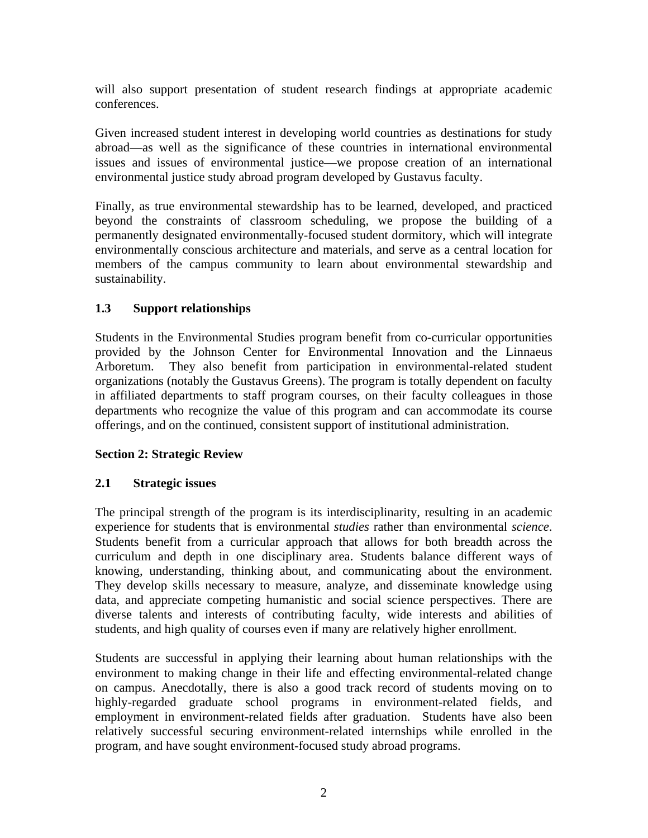will also support presentation of student research findings at appropriate academic conferences.

Given increased student interest in developing world countries as destinations for study abroad—as well as the significance of these countries in international environmental issues and issues of environmental justice—we propose creation of an international environmental justice study abroad program developed by Gustavus faculty.

Finally, as true environmental stewardship has to be learned, developed, and practiced beyond the constraints of classroom scheduling, we propose the building of a permanently designated environmentally-focused student dormitory, which will integrate environmentally conscious architecture and materials, and serve as a central location for members of the campus community to learn about environmental stewardship and sustainability.

## **1.3 Support relationships**

Students in the Environmental Studies program benefit from co-curricular opportunities provided by the Johnson Center for Environmental Innovation and the Linnaeus Arboretum. They also benefit from participation in environmental-related student organizations (notably the Gustavus Greens). The program is totally dependent on faculty in affiliated departments to staff program courses, on their faculty colleagues in those departments who recognize the value of this program and can accommodate its course offerings, and on the continued, consistent support of institutional administration.

## **Section 2: Strategic Review**

## **2.1 Strategic issues**

The principal strength of the program is its interdisciplinarity, resulting in an academic experience for students that is environmental *studies* rather than environmental *science*. Students benefit from a curricular approach that allows for both breadth across the curriculum and depth in one disciplinary area. Students balance different ways of knowing, understanding, thinking about, and communicating about the environment. They develop skills necessary to measure, analyze, and disseminate knowledge using data, and appreciate competing humanistic and social science perspectives. There are diverse talents and interests of contributing faculty, wide interests and abilities of students, and high quality of courses even if many are relatively higher enrollment.

Students are successful in applying their learning about human relationships with the environment to making change in their life and effecting environmental-related change on campus. Anecdotally, there is also a good track record of students moving on to highly-regarded graduate school programs in environment-related fields, and employment in environment-related fields after graduation. Students have also been relatively successful securing environment-related internships while enrolled in the program, and have sought environment-focused study abroad programs.